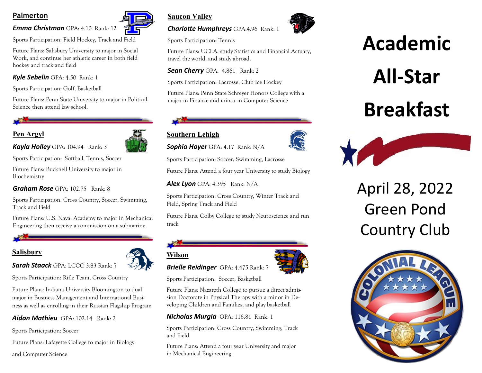### **Palmerton**

#### *Emma Christman* GPA: 4.10 Rank: 12

Sports Participation: Field Hockey, Track and Field

Future Plans: Salisbury University to major in Social Work, and continue her athletic career in both field hockey and track and field

#### *Kyle Sebelin* GPA: 4.50 Rank: 1

Sports Participation: Golf, Basketball

Future Plans: Penn State University to major in Political Science then attend law school.

#### **Pen Argyl**



*Kayla Holley* GPA: 104.94 Rank: 3

Sports Participation: Softball, Tennis, Soccer

Future Plans: Bucknell University to major in Biochemistry

*Graham Rose* GPA: 102.75 Rank: 8

Sports Participation: Cross Country, Soccer, Swimming, Track and Field

Future Plans: U.S. Naval Academy to major in Mechanical Engineering then receive a commission on a submarine

#### **Salisbury**



*Sarah Staack* GPA: LCCC 3.83 Rank: 7

Sports Participation: Rifle Team, Cross Country

Future Plans: Indiana University Bloomington to dual major in Business Management and International Business as well as enrolling in their Russian Flagship Program

#### *Aidan Mathieu* GPA: 102.14 Rank: 2

Sports Participation: Soccer

Future Plans: Lafayette College to major in Biology

and Computer Science



# **Saucon Valley**

#### *Charlotte Humphreys* GPA:4.96 Rank: 1

Sports Participation: Tennis

Future Plans: UCLA, study Statistics and Financial Actuary, travel the world, and study abroad.

#### *Sean Cherry* GPA: 4.861 Rank: 2

Sports Participation: Lacrosse, Club Ice Hockey

Future Plans: Penn State Schreyer Honors College with a major in Finance and minor in Computer Science

## **Southern Lehigh**

**Wilson**

*Sophia Hoyer* GPA: 4.17 Rank: N/A

Sports Participation: Soccer, Swimming, Lacrosse

Future Plans: Attend a four year University to study Biology

*Alex Lyon* GPA: 4.395 Rank: N/A

Sports Participation: Cross Country, Winter Track and Field, Spring Track and Field

Future Plans: Colby College to study Neuroscience and run track



*Brielle Reidinger* GPA: 4.475 Rank: 7

Sports Participation: Soccer, Basketball

Future Plans: Nazareth College to pursue a direct admission Doctorate in Physical Therapy with a minor in Developing Children and Families, and play basketball

#### *Nicholas Murgia*GPA: 116.81 Rank: 1

Sports Participation: Cross Country, Swimming, Track and Field

Future Plans: Attend a four year University and major in Mechanical Engineering.



# **Academic**

# **All-Star**

# **Breakfast**



April 28, 2022 Green Pond Country Club